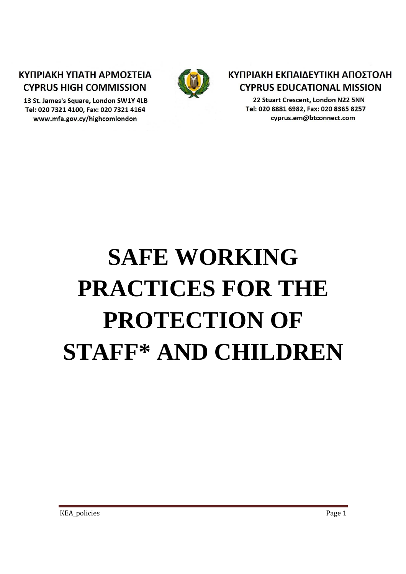# ΚΥΠΡΙΑΚΗ ΥΠΑΤΗ ΑΡΜΟΣΤΕΙΑ **CYPRUS HIGH COMMISSION**

13 St. James's Square, London SW1Y 4LB Tel: 020 7321 4100, Fax: 020 7321 4164 www.mfa.gov.cy/highcomlondon



# ΚΥΠΡΙΑΚΗ ΕΚΠΑΙΔΕΥΤΙΚΗ ΑΠΟΣΤΟΛΗ **CYPRUS EDUCATIONAL MISSION**

22 Stuart Crescent, London N22 5NN Tel: 020 8881 6982, Fax: 020 8365 8257 cyprus.em@btconnect.com

# **SAFE WORKING PRACTICES FOR THE PROTECTION OF STAFF\* AND CHILDREN**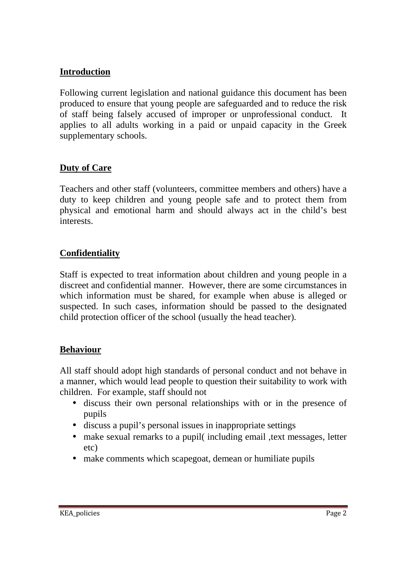#### **Introduction**

Following current legislation and national guidance this document has been produced to ensure that young people are safeguarded and to reduce the risk of staff being falsely accused of improper or unprofessional conduct. It applies to all adults working in a paid or unpaid capacity in the Greek supplementary schools.

#### **Duty of Care**

Teachers and other staff (volunteers, committee members and others) have a duty to keep children and young people safe and to protect them from physical and emotional harm and should always act in the child's best interests.

#### **Confidentiality**

Staff is expected to treat information about children and young people in a discreet and confidential manner. However, there are some circumstances in which information must be shared, for example when abuse is alleged or suspected. In such cases, information should be passed to the designated child protection officer of the school (usually the head teacher).

#### **Behaviour**

All staff should adopt high standards of personal conduct and not behave in a manner, which would lead people to question their suitability to work with children. For example, staff should not

- discuss their own personal relationships with or in the presence of pupils
- discuss a pupil's personal issues in inappropriate settings
- make sexual remarks to a pupil (including email , text messages, letter etc)
- make comments which scapegoat, demean or humiliate pupils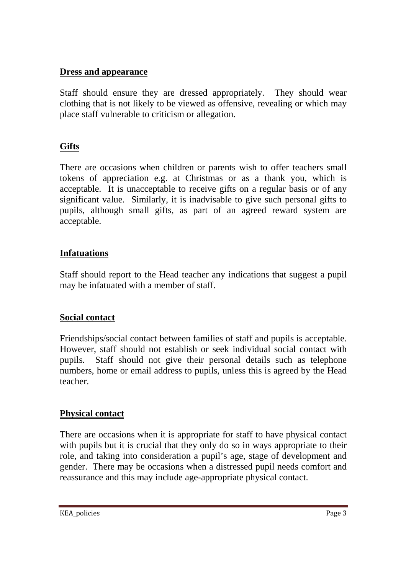#### **Dress and appearance**

Staff should ensure they are dressed appropriately. They should wear clothing that is not likely to be viewed as offensive, revealing or which may place staff vulnerable to criticism or allegation.

## **Gifts**

There are occasions when children or parents wish to offer teachers small tokens of appreciation e.g. at Christmas or as a thank you, which is acceptable. It is unacceptable to receive gifts on a regular basis or of any significant value. Similarly, it is inadvisable to give such personal gifts to pupils, although small gifts, as part of an agreed reward system are acceptable.

#### **Infatuations**

Staff should report to the Head teacher any indications that suggest a pupil may be infatuated with a member of staff.

#### **Social contact**

Friendships/social contact between families of staff and pupils is acceptable. However, staff should not establish or seek individual social contact with pupils. Staff should not give their personal details such as telephone numbers, home or email address to pupils, unless this is agreed by the Head teacher.

#### **Physical contact**

There are occasions when it is appropriate for staff to have physical contact with pupils but it is crucial that they only do so in ways appropriate to their role, and taking into consideration a pupil's age, stage of development and gender. There may be occasions when a distressed pupil needs comfort and reassurance and this may include age-appropriate physical contact.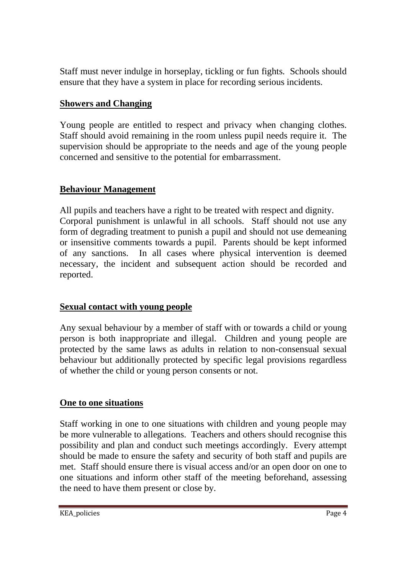Staff must never indulge in horseplay, tickling or fun fights. Schools should ensure that they have a system in place for recording serious incidents.

#### **Showers and Changing**

Young people are entitled to respect and privacy when changing clothes. Staff should avoid remaining in the room unless pupil needs require it. The supervision should be appropriate to the needs and age of the young people concerned and sensitive to the potential for embarrassment.

#### **Behaviour Management**

All pupils and teachers have a right to be treated with respect and dignity. Corporal punishment is unlawful in all schools. Staff should not use any form of degrading treatment to punish a pupil and should not use demeaning or insensitive comments towards a pupil. Parents should be kept informed of any sanctions. In all cases where physical intervention is deemed necessary, the incident and subsequent action should be recorded and reported.

## **Sexual contact with young people**

Any sexual behaviour by a member of staff with or towards a child or young person is both inappropriate and illegal. Children and young people are protected by the same laws as adults in relation to non-consensual sexual behaviour but additionally protected by specific legal provisions regardless of whether the child or young person consents or not.

## **One to one situations**

Staff working in one to one situations with children and young people may be more vulnerable to allegations. Teachers and others should recognise this possibility and plan and conduct such meetings accordingly. Every attempt should be made to ensure the safety and security of both staff and pupils are met. Staff should ensure there is visual access and/or an open door on one to one situations and inform other staff of the meeting beforehand, assessing the need to have them present or close by.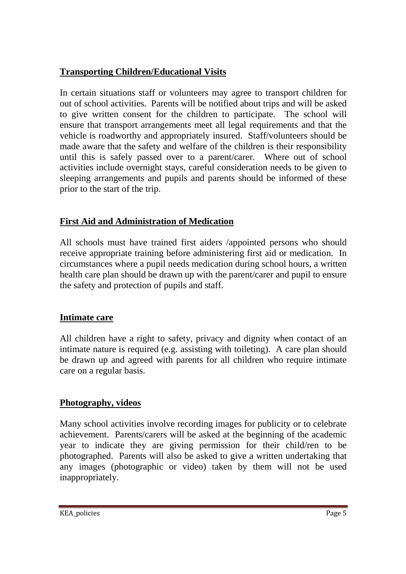## **Transporting Children/Educational Visits**

In certain situations staff or volunteers may agree to transport children for out of school activities. Parents will be notified about trips and will be asked to give written consent for the children to participate. The school will ensure that transport arrangements meet all legal requirements and that the vehicle is roadworthy and appropriately insured. Staff/volunteers should be made aware that the safety and welfare of the children is their responsibility until this is safely passed over to a parent/carer. Where out of school activities include overnight stays, careful consideration needs to be given to sleeping arrangements and pupils and parents should be informed of these prior to the start of the trip.

## **First Aid and Administration of Medication**

All schools must have trained first aiders /appointed persons who should receive appropriate training before administering first aid or medication. In circumstances where a pupil needs medication during school hours, a written health care plan should be drawn up with the parent/carer and pupil to ensure the safety and protection of pupils and staff.

## **Intimate care**

All children have a right to safety, privacy and dignity when contact of an intimate nature is required (e.g. assisting with toileting). A care plan should be drawn up and agreed with parents for all children who require intimate care on a regular basis.

# **Photography, videos**

Many school activities involve recording images for publicity or to celebrate achievement. Parents/carers will be asked at the beginning of the academic year to indicate they are giving permission for their child/ren to be photographed. Parents will also be asked to give a written undertaking that any images (photographic or video) taken by them will not be used inappropriately.